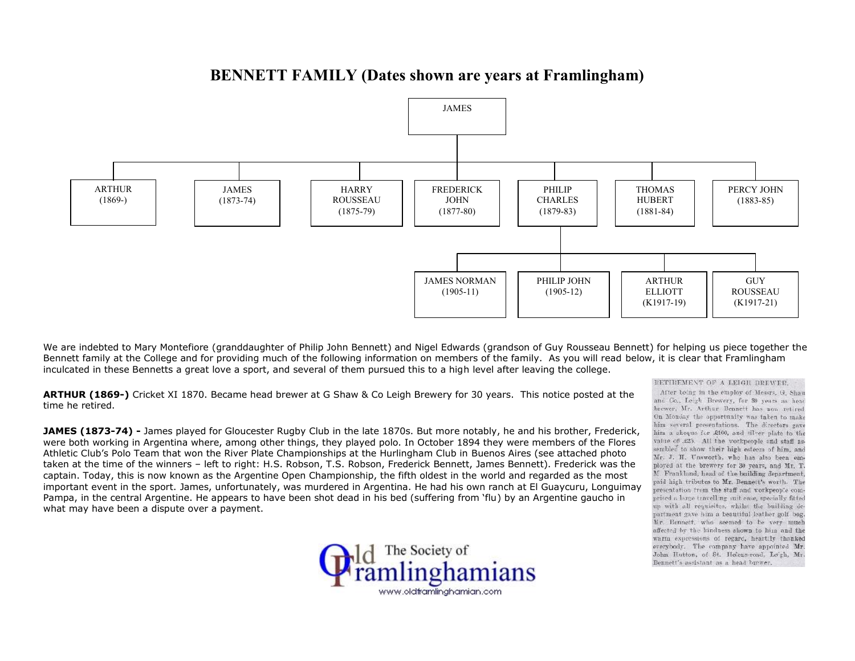## **BENNETT FAMILY (Dates shown are years at Framlingham)**



We are indebted to Mary Montefiore (granddaughter of Philip John Bennett) and Nigel Edwards (grandson of Guy Rousseau Bennett) for helping us piece together the Bennett family at the College and for providing much of the following information on members of the family. As you will read below, it is clear that Framlingham inculcated in these Bennetts a great love a sport, and several of them pursued this to a high level after leaving the college.

**ARTHUR (1869-)** Cricket XI 1870. Became head brewer at G Shaw & Co Leigh Brewery for 30 years. This notice posted at the and Co., Leigh Brewery, for 30 years as head time he retired.

**JAMES (1873-74) -** James played for Gloucester Rugby Club in the late 1870s. But more notably, he and his brother, Frederick, him a sheque for £100, and silver plate to the work of the Norther Assets and staff as-<br>Were were both working in Argentina where, among other things, they played polo. In October 1894 they were members of the Flores walked to show their high esteem of him, and Athletic Club's Polo Team that won the River Plate Championships at the Hurlingham Club in Buenos Aires (see attached photo Mr. J. H. Unsworth, who has also been omtaken at the time of the winners – left to right: H.S. Robson, T.S. Robson, Frederick Bennett, James Bennett). Frederick was the ployed at the brewery for 30 years, and Mr. T.<br>Cantain Today, this is now known as the Argent captain. Today, this is now known as the Argentine Open Championship, the fifth oldest in the world and regarded as the most and Frankland, head of the building department, important event in the sport. James, unfortunately, was murdered in Argentina. He had his own ranch at El Guaycuru, Longuimay presentation from the staff and workneen's con-Pampa, in the central Argentine. He appears to have been shot dead in his bed (suffering from 'flu) by an Argentine gaucho in prised a large travelling suit case, specially fitted and the building dewhat may have been a dispute over a payment.



RETIREMENT OF A LEIGH BREWER.

brewer, Mr. Arthur Bennett has now retired. On Monday the opportunity was taken to make him several presentations. The directors gave partment gave him a beautiful leather golf bag. Mr. Bennett, who seemed to be very much affected by the kindness shown to him and the warm expressions of regard, heartily thanked everybody. The company have appointed Mr. John Hutton, of St. Helens-road, Leigh, Mr. Bennett's assistant as a head brewer.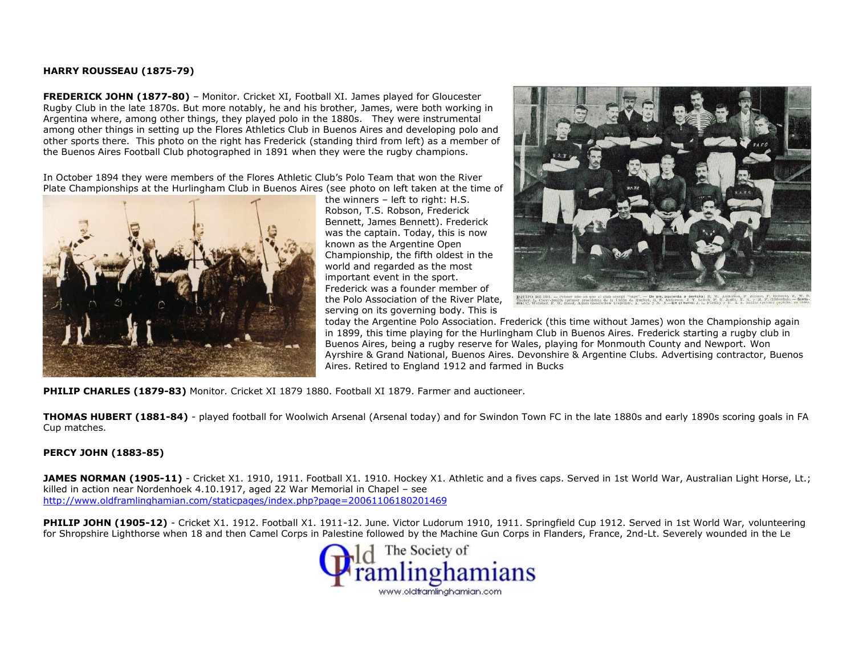## **HARRY ROUSSEAU (1875-79)**

**FREDERICK JOHN (1877-80)** – Monitor. Cricket XI, Football XI. James played for Gloucester Rugby Club in the late 1870s. But more notably, he and his brother, James, were both working in Argentina where, among other things, they played polo in the 1880s. They were instrumental among other things in setting up the Flores Athletics Club in Buenos Aires and developing polo and other sports there. This photo on the right has Frederick (standing third from left) as a member of the Buenos Aires Football Club photographed in 1891 when they were the rugby champions.

In October 1894 they were members of the Flores Athletic Club's Polo Team that won the River Plate Championships at the Hurlingham Club in Buenos Aires (see photo on left taken at the time of



the winners – left to right: H.S. Robson, T.S. Robson, Frederick Bennett, James Bennett). Frederick was the captain. Today, this is now known as the Argentine Open Championship, the fifth oldest in the world and regarded as the most important event in the sport. Frederick was a founder member of the Polo Association of the River Plate, serving on its governing body. This is



today the Argentine Polo Association. Frederick (this time without James) won the Championship again in 1899, this time playing for the Hurlingham Club in Buenos Aires. Frederick starting a rugby club in Buenos Aires, being a rugby reserve for Wales, playing for Monmouth County and Newport. Won Ayrshire & Grand National, Buenos Aires. Devonshire & Argentine Clubs. Advertising contractor, Buenos Aires. Retired to England 1912 and farmed in Bucks

**PHILIP CHARLES (1879-83)** Monitor. Cricket XI 1879 1880. Football XI 1879. Farmer and auctioneer.

**THOMAS HUBERT (1881-84)** - played football for Woolwich Arsenal (Arsenal today) and for Swindon Town FC in the late 1880s and early 1890s scoring goals in FA Cup matches.

## **PERCY JOHN (1883-85)**

JAMES NORMAN (1905-11) - Cricket X1. 1910, 1911. Football X1. 1910. Hockey X1. Athletic and a fives caps. Served in 1st World War, Australian Light Horse, Lt.; killed in action near Nordenhoek 4.10.1917, aged 22 War Memorial in Chapel – see http://www.oldframlinghamian.com/staticpages/index.php?page=20061106180201469

PHILIP JOHN (1905-12) - Cricket X1. 1912. Football X1. 1911-12. June. Victor Ludorum 1910, 1911. Springfield Cup 1912. Served in 1st World War, volunteering for Shropshire Lighthorse when 18 and then Camel Corps in Palestine followed by the Machine Gun Corps in Flanders, France, 2nd-Lt. Severely wounded in the Le

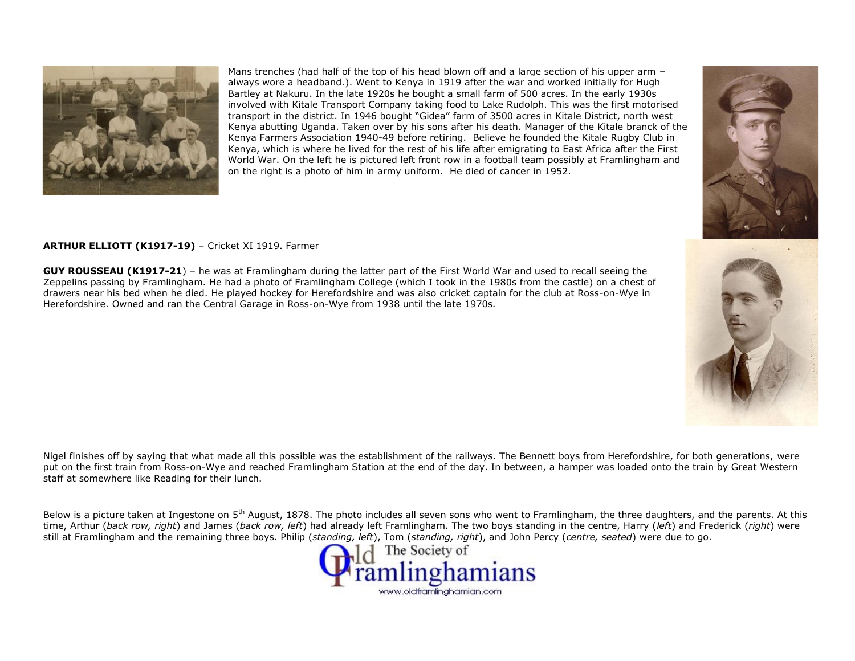

Mans trenches (had half of the top of his head blown off and a large section of his upper arm always wore a headband.). Went to Kenya in 1919 after the war and worked initially for Hugh Bartley at Nakuru. In the late 1920s he bought a small farm of 500 acres. In the early 1930s involved with Kitale Transport Company taking food to Lake Rudolph. This was the first motorised transport in the district. In 1946 bought "Gidea" farm of 3500 acres in Kitale District, north west Kenya abutting Uganda. Taken over by his sons after his death. Manager of the Kitale branck of the Kenya Farmers Association 1940-49 before retiring. Believe he founded the Kitale Rugby Club in Kenya, which is where he lived for the rest of his life after emigrating to East Africa after the First World War. On the left he is pictured left front row in a football team possibly at Framlingham and on the right is a photo of him in army uniform. He died of cancer in 1952.

## **ARTHUR ELLIOTT (K1917-19)** – Cricket XI 1919. Farmer

**GUY ROUSSEAU (K1917-21**) – he was at Framlingham during the latter part of the First World War and used to recall seeing the Zeppelins passing by Framlingham. He had a photo of Framlingham College (which I took in the 1980s from the castle) on a chest of drawers near his bed when he died. He played hockey for Herefordshire and was also cricket captain for the club at Ross-on-Wye in Herefordshire. Owned and ran the Central Garage in Ross-on-Wye from 1938 until the late 1970s.



Below is a picture taken at Ingestone on 5<sup>th</sup> August, 1878. The photo includes all seven sons who went to Framlingham, the three daughters, and the parents. At this time, Arthur (*back row, right*) and James (*back row, left*) had already left Framlingham. The two boys standing in the centre, Harry (*left*) and Frederick (*right*) were still at Framlingham and the remaining three boys. Philip (*standing, left*), Tom (*standing, right*), and John Percy (*centre, seated*) were due to go.